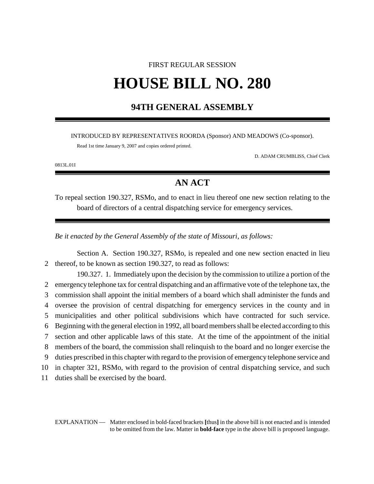# FIRST REGULAR SESSION **HOUSE BILL NO. 280**

### **94TH GENERAL ASSEMBLY**

INTRODUCED BY REPRESENTATIVES ROORDA (Sponsor) AND MEADOWS (Co-sponsor).

Read 1st time January 9, 2007 and copies ordered printed.

D. ADAM CRUMBLISS, Chief Clerk

0813L.01I

## **AN ACT**

To repeal section 190.327, RSMo, and to enact in lieu thereof one new section relating to the board of directors of a central dispatching service for emergency services.

*Be it enacted by the General Assembly of the state of Missouri, as follows:*

Section A. Section 190.327, RSMo, is repealed and one new section enacted in lieu 2 thereof, to be known as section 190.327, to read as follows:

190.327. 1. Immediately upon the decision by the commission to utilize a portion of the emergency telephone tax for central dispatching and an affirmative vote of the telephone tax, the commission shall appoint the initial members of a board which shall administer the funds and oversee the provision of central dispatching for emergency services in the county and in municipalities and other political subdivisions which have contracted for such service. Beginning with the general election in 1992, all board members shall be elected according to this section and other applicable laws of this state. At the time of the appointment of the initial members of the board, the commission shall relinquish to the board and no longer exercise the duties prescribed in this chapter with regard to the provision of emergency telephone service and in chapter 321, RSMo, with regard to the provision of central dispatching service, and such duties shall be exercised by the board.

EXPLANATION — Matter enclosed in bold-faced brackets **[**thus**]** in the above bill is not enacted and is intended to be omitted from the law. Matter in **bold-face** type in the above bill is proposed language.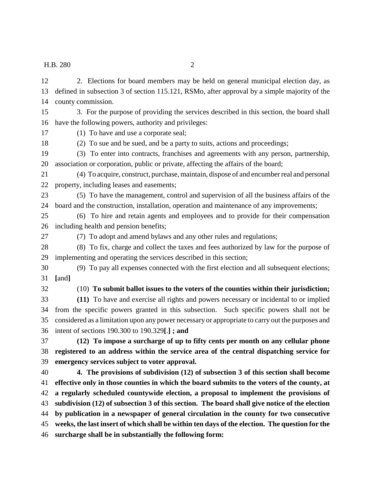county commission. 3. For the purpose of providing the services described in this section, the board shall have the following powers, authority and privileges: (1) To have and use a corporate seal; (2) To sue and be sued, and be a party to suits, actions and proceedings; (3) To enter into contracts, franchises and agreements with any person, partnership, association or corporation, public or private, affecting the affairs of the board; (4) To acquire, construct, purchase, maintain, dispose of and encumber real and personal property, including leases and easements; (5) To have the management, control and supervision of all the business affairs of the board and the construction, installation, operation and maintenance of any improvements; (6) To hire and retain agents and employees and to provide for their compensation including health and pension benefits; (7) To adopt and amend bylaws and any other rules and regulations;

 (8) To fix, charge and collect the taxes and fees authorized by law for the purpose of implementing and operating the services described in this section;

 (9) To pay all expenses connected with the first election and all subsequent elections; **[**and**]**

#### (10) **To submit ballot issues to the voters of the counties within their jurisdiction;**

 **(11)** To have and exercise all rights and powers necessary or incidental to or implied from the specific powers granted in this subsection. Such specific powers shall not be considered as a limitation upon any power necessary or appropriate to carry out the purposes and intent of sections 190.300 to 190.329**[**.**] ; and**

 **(12) To impose a surcharge of up to fifty cents per month on any cellular phone registered to an address within the service area of the central dispatching service for emergency services subject to voter approval.**

 **4. The provisions of subdivision (12) of subsection 3 of this section shall become effective only in those counties in which the board submits to the voters of the county, at a regularly scheduled countywide election, a proposal to implement the provisions of subdivision (12) of subsection 3 of this section. The board shall give notice of the election by publication in a newspaper of general circulation in the county for two consecutive weeks, the last insert of which shall be within ten days of the election. The question for the surcharge shall be in substantially the following form:**

 2. Elections for board members may be held on general municipal election day, as defined in subsection 3 of section 115.121, RSMo, after approval by a simple majority of the